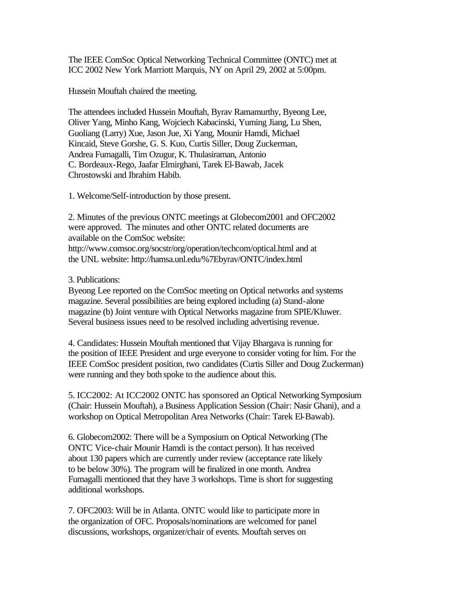The IEEE ComSoc Optical Networking Technical Committee (ONTC) met at ICC 2002 New York Marriott Marquis, NY on April 29, 2002 at 5:00pm.

Hussein Mouftah chaired the meeting.

The attendees included Hussein Mouftah, Byrav Ramamurthy, Byeong Lee, Oliver Yang, Minho Kang, Wojciech Kabacinski, Yuming Jiang, Lu Shen, Guoliang (Larry) Xue, Jason Jue, Xi Yang, Mounir Hamdi, Michael Kincaid, Steve Gorshe, G. S. Kuo, Curtis Siller, Doug Zuckerman, Andrea Fumagalli, Tim Ozugur, K. Thulasiraman, Antonio C. Bordeaux-Rego, Jaafar Elmirghani, Tarek El-Bawab, Jacek Chrostowski and Ibrahim Habib.

1. Welcome/Self-introduction by those present.

2. Minutes of the previous ONTC meetings at Globecom2001 and OFC2002 were approved. The minutes and other ONTC related documents are available on the ComSoc website: http://www.comsoc.org/socstr/org/operation/techcom/optical.html and at the UNL website: http://hamsa.unl.edu/%7Ebyrav/ONTC/index.html

3. Publications:

Byeong Lee reported on the ComSoc meeting on Optical networks and systems magazine. Several possibilities are being explored including (a) Stand-alone magazine (b) Joint venture with Optical Networks magazine from SPIE/Kluwer. Several business issues need to be resolved including advertising revenue.

4. Candidates: Hussein Mouftah mentioned that Vijay Bhargava is running for the position of IEEE President and urge everyone to consider voting for him. For the IEEE ComSoc president position, two candidates (Curtis Siller and Doug Zuckerman) were running and they both spoke to the audience about this.

5. ICC2002: At ICC2002 ONTC has sponsored an Optical Networking Symposium (Chair: Hussein Mouftah), a Business Application Session (Chair: Nasir Ghani), and a workshop on Optical Metropolitan Area Networks (Chair: Tarek El-Bawab).

6. Globecom2002: There will be a Symposium on Optical Networking (The ONTC Vice-chair Mounir Hamdi is the contact person). It has received about 130 papers which are currently under review (acceptance rate likely to be below 30%). The program will be finalized in one month. Andrea Fumagalli mentioned that they have 3 workshops. Time is short for suggesting additional workshops.

7. OFC2003: Will be in Atlanta. ONTC would like to participate more in the organization of OFC. Proposals/nominations are welcomed for panel discussions, workshops, organizer/chair of events. Mouftah serves on